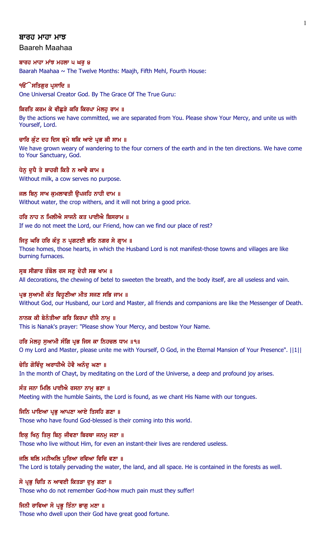### ਬਾਰਹ ਮਾਹਾ ਮਾਝ

Baareh Maahaa

#### ਬਾਰਹ ਮਾਹਾ ਮਾਂਝ ਮਹਲਾ ੫ ਘਰ ੪

Baarah Maahaa  $\sim$  The Twelve Months: Maajh, Fifth Mehl, Fourth House:

#### **ੴ ਸਤਿਗਰ ਪਸਾਦਿ** ॥

One Universal Creator God. By The Grace Of The True Guru:

#### ਕਿਰਤਿ ਕਰਮ ਕੇ ਵੀਛੁੜੇ ਕਰਿ ਕਿਰਪਾ ਮੇਲਹੂ ਰਾਮ ॥

By the actions we have committed, we are separated from You. Please show Your Mercy, and unite us with Yourself, Lord.

#### ਚਾਰਿ ਕੁੰਟ ਦਹ ਦਿਸ ਭੂਮੇ ਥਕਿ ਆਏ ਪ੍ਰਭ ਕੀ ਸਾਮ ॥

We have grown weary of wandering to the four corners of the earth and in the ten directions. We have come to Your Sanctuary, God.

### ਧੇਨ ਦਧੈ ਤੇ ਬਾਹਰੀ ਕਿਤੈ ਨ ਆਵੈ ਕਾਮ ॥

Without milk, a cow serves no purpose.

## ਜਲ ਬਿਨ ਸਾਖ ਕਮਲਾਵਤੀ ੳਪਜਹਿ ਨਾਹੀ ਦਾਮ ॥ Without water, the crop withers, and it will not bring a good price.

ਹਰਿ ਨਾਹ ਨ ਮਿਲੀਐ ਸਾਜਨੈ ਕਤ ਪਾਈਐ ਬਿਸਰਾਮ ॥

If we do not meet the Lord, our Friend, how can we find our place of rest?

## ਜਿਤੂ ਘਰਿ ਹਰਿ ਕੰਤੂ ਨ ਪ੍ਰਗਟਈ ਭਠਿ ਨਗਰ ਸੇ ਗ੍ਰਾਮ ॥

Those homes, those hearts, in which the Husband Lord is not manifest-those towns and villages are like burning furnaces.

## ਸੂਬ ਸੀਗਾਰ ਤੰਬੋਲ ਰਸ ਸਣੂ ਦੇਹੀ ਸਭ ਖਾਮ ॥

All decorations, the chewing of betel to sweeten the breath, and the body itself, are all useless and vain.

### ਪ੍ਰਭ ਸੁਆਮੀ ਕੰਤ ਵਿਹੁਣੀਆ ਮੀਤ ਸਜਣ ਸਭਿ ਜਾਮ ॥

Without God, our Husband, our Lord and Master, all friends and companions are like the Messenger of Death.

## ਨਾਨਕ ਕੀ ਬੇਨੰਤੀਆ ਕਰਿ ਕਿਰਪਾ ਦੀਜੈ ਨਾਮੁ ॥

This is Nanak's prayer: "Please show Your Mercy, and bestow Your Name.

## ਹਰਿ ਮੇਲਹੂ ਸੁਆਮੀ ਸੰਗਿ ਪ੍ਰਭ ਜਿਸ ਕਾ ਨਿਹਚਲ ਧਾਮ ॥੧॥

O my Lord and Master, please unite me with Yourself, O God, in the Eternal Mansion of Your Presence". ||1||

### ਚੇਤਿ ਗੋਵਿੰਦ ਅਰਾਧੀਐ ਹੋਵੈ ਅਨੰਦ ਘਣਾ ॥

In the month of Chayt, by meditating on the Lord of the Universe, a deep and profound joy arises.

## ਸੰਤ ਜਨਾ ਮਿਲਿ ਪਾਈਐ ਰਸਨਾ ਨਾਮ ਭਣਾ ॥

Meeting with the humble Saints, the Lord is found, as we chant His Name with our tongues.

## ਜਿਨਿ ਪਾਇਆ ਪ੍ਰਭ ਆਪਣਾ ਆਏ ਤਿਸਹਿ ਗਣਾ ॥

Those who have found God-blessed is their coming into this world.

## ਇਕੁ ਖਿਨੁ ਤਿਸੁ ਬਿਨੁ ਜੀਵਣਾ ਬਿਰਥਾ ਜਨਮੁ ਜਣਾ ॥

Those who live without Him, for even an instant-their lives are rendered useless.

## ਜਲਿ ਥਲਿ ਮਹੀਅਲਿ ਪਰਿਆ ਰਵਿਆ ਵਿਚਿ ਵਣਾ ॥

The Lord is totally pervading the water, the land, and all space. He is contained in the forests as well.

## ਸੋ ਪ੍ਰਭੂ ਚਿਤਿ ਨ ਆਵਈ ਕਿਤੜਾ ਦੁਖੁ ਗਣਾ ॥

Those who do not remember God-how much pain must they suffer!

## ਜਿਨੀ ਰਾਵਿਆ ਸੋ ਪ੍ਰਭੂ ਤਿੰਨਾ ਭਾਗੂ ਮਣਾ ॥

Those who dwell upon their God have great good fortune.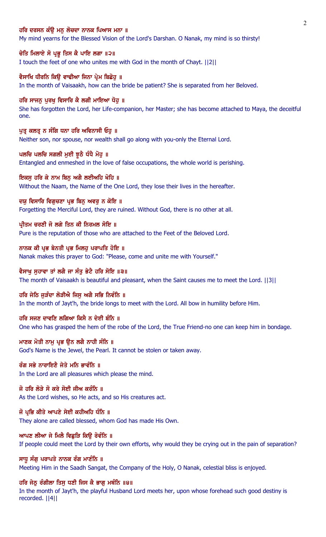### ਹਰਿ ਦਰਸਨ ਕੰੳ ਮਨ ਲੋਚਦਾ ਨਾਨਕ ਪਿਆਸ ਮਨਾ ॥

My mind yearns for the Blessed Vision of the Lord's Darshan. O Nanak, my mind is so thirsty!

## ਚੇਤਿ ਮਿਲਾਏ ਸੋ ਪ੍ਰਭੂ ਤਿਸ ਕੈ ਪਾਇ ਲਗਾ ॥੨॥

I touch the feet of one who unites me with God in the month of Chayt. ||2||

#### ਵੈਸਾਖਿ ਧੀਰਨਿ ਕਿੳ ਵਾਢੀਆ ਜਿਨਾ ਪ੍ਰੇਮ ਬਿਛੋਹ ॥

In the month of Vaisaakh, how can the bride be patient? She is separated from her Beloved.

#### ਹਰਿ ਸਾਜਨ ਪਰਖ ਵਿਸਾਰਿ ਕੈ ਲਗੀ ਮਾਇਆ ਧੋਹ ॥

She has forgotten the Lord, her Life-companion, her Master; she has become attached to Maya, the deceitful one.

#### ਪਤ ਕਲਤੂ ਨ ਸੰਗਿ ਧਨਾ ਹਰਿ ਅਵਿਨਾਸੀ ਓਹ ॥

Neither son, nor spouse, nor wealth shall go along with you-only the Eternal Lord.

#### ਪਲਚਿ ਪਲਚਿ ਸਗਲੀ ਮੁਈ ਝੁਠੈ ਧੰਧੈ ਮੋਹੁ ॥

Entangled and enmeshed in the love of false occupations, the whole world is perishing.

#### ਇਕਸੁ ਹਰਿ ਕੇ ਨਾਮ ਬਿਨੂ ਅਗੈ ਲਈਅਹਿ ਖੋਹਿ ॥

Without the Naam, the Name of the One Lord, they lose their lives in the hereafter.

### ਦਯੂ ਵਿਸਾਰਿ ਵਿਗੁਚਣਾ ਪ੍ਰਭ ਬਿਨੂ ਅਵਰੂ ਨ ਕੋਇ ॥

Forgetting the Merciful Lord, they are ruined. Without God, there is no other at all.

### ਪ੍ਰੀਤਮ ਚਰਣੀ ਜੋ ਲਗੇ ਤਿਨ ਕੀ ਨਿਰਮਲ ਸੋਇ ॥

Pure is the reputation of those who are attached to the Feet of the Beloved Lord.

#### ਨਾਨਕ ਕੀ ਪ੍ਰਭ ਬੇਨਤੀ ਪ੍ਰਭ ਮਿਲਹੂ ਪਰਾਪਤਿ ਹੋਇ ॥

Nanak makes this prayer to God: "Please, come and unite me with Yourself."

## ਵੈਸਾਖ ਸਹਾਵਾ ਤਾਂ ਲਗੈ ਜਾ ਸੰਤ ਭੇਟੈ ਹਰਿ ਸੋਇ ॥੩॥

The month of Vaisaakh is beautiful and pleasant, when the Saint causes me to meet the Lord. ||3||

#### ਹਰਿ ਜੇਠਿ ਜੜੰਦਾ ਲੋੜੀਐ ਜਿਸ ਅਗੈ ਸਭਿ ਨਿਵੰਨਿ ॥

In the month of Jayt'h, the bride longs to meet with the Lord. All bow in humility before Him.

## ਹਰਿ ਸਜਣ ਦਾਵਣਿ ਲਗਿਆ ਕਿਸੈ ਨ ਦੇਈ ਬੰਨਿ ॥

One who has grasped the hem of the robe of the Lord, the True Friend-no one can keep him in bondage.

#### ਮਾਣਕ ਮੋਤੀ ਨਾਮ ਪ੍ਰਭ ੳਨ ਲਗੈ ਨਾਹੀ ਸੰਨਿ ॥

God's Name is the Jewel, the Pearl. It cannot be stolen or taken away.

## ਰੰਗ ਸਭੇ ਨਾਰਾਇਣੈ ਜੇਤੇ ਮਨਿ ਭਾਵੰਨਿ ॥

In the Lord are all pleasures which please the mind.

# ਜੋ ਹਰਿ ਲੋੜੇ ਸੋ ਕਰੇ ਸੋਈ ਜੀਅ ਕਰੰਨਿ ॥

As the Lord wishes, so He acts, and so His creatures act.

### ਜੋ ਪ੍ਰਭਿ ਕੀਤੇ ਆਪਣੇ ਸੇਈ ਕਹੀਅਹਿ ਧੰਨਿ ॥

They alone are called blessed, whom God has made His Own.

#### ਆਪਣ ਲੀਆ ਜੇ ਮਿਲੈ ਵਿਛੁੜਿ ਕਿਉ ਰੋਵੰਨਿ ॥

If people could meet the Lord by their own efforts, why would they be crying out in the pain of separation?

#### ਸਾਧ ਸੰਗ ਪਰਾਪਤੇ ਨਾਨਕ ਰੰਗ ਮਾਣੰਨਿ ॥

Meeting Him in the Saadh Sangat, the Company of the Holy, O Nanak, celestial bliss is enjoyed.

## ਹਰਿ ਜੇਠੂ ਰੰਗੀਲਾ ਤਿਸੂ ਧਣੀ ਜਿਸ ਕੈ ਭਾਗੂ ਮਥੰਨਿ ॥੪॥

In the month of Jayt'h, the playful Husband Lord meets her, upon whose forehead such good destiny is recorded. ||4||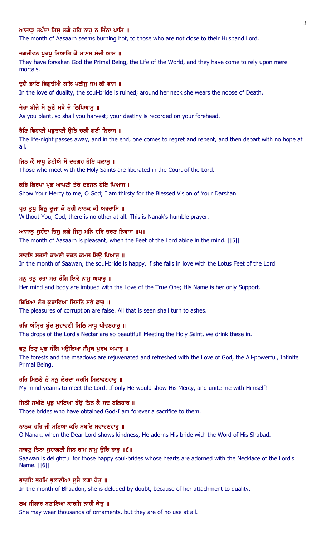## ਆਸਾੜ ਤਪੰਦਾ ਤਿਸ ਲਗੈ ਹਰਿ ਨਾਹ ਨ ਜਿੰਨਾ ਪਾਸਿ ॥

The month of Aasaarh seems burning hot, to those who are not close to their Husband Lord.

### ਜਗਜੀਵਨ ਪੂਰਖੂ ਤਿਆਗਿ ਕੈ ਮਾਣਸ ਸੰਦੀ ਆਸ ॥

They have forsaken God the Primal Being, the Life of the World, and they have come to rely upon mere mortals.

## ਦਯੈ ਭਾਇ ਵਿਗਚੀਐ ਗਲਿ ਪਈਸ ਜਮ ਕੀ ਫਾਸ ॥

In the love of duality, the soul-bride is ruined; around her neck she wears the noose of Death.

#### ਜੇਹਾ ਬੀਜੈ ਸੋ ਲੁਣੈ ਮਥੈ ਜੋ ਲਿਖਿਆਸੁ ॥

As you plant, so shall you harvest; your destiny is recorded on your forehead.

### ਰੈਣਿ ਵਿਹਾਣੀ ਪਛਤਾਣੀ ੳਠਿ ਚਲੀ ਗਈ ਨਿਰਾਸ ॥

The life-night passes away, and in the end, one comes to regret and repent, and then depart with no hope at all.

### ਜਿਨ ਕੌ ਸਾਧੂ ਭੇਟੀਐ ਸੋ ਦਰਗਹ ਹੋਇ ਖਲਾਸੂ ॥

Those who meet with the Holy Saints are liberated in the Court of the Lord.

## ਕਰਿ ਕਿਰਪਾ ਪ੍ਰਭ ਆਪਣੀ ਤੇਰੇ ਦਰਸਨ ਹੋਇ ਪਿਆਸ ॥

Show Your Mercy to me, O God; I am thirsty for the Blessed Vision of Your Darshan.

### ਪ੍ਰਭ ਤੁਧੂ ਬਿਨੂ ਦੂਜਾ ਕੋ ਨਹੀ ਨਾਨਕ ਕੀ ਅਰਦਾਸਿ ॥

Without You, God, there is no other at all. This is Nanak's humble prayer.

## ਆਸਾੜੂ ਸੁਹੰਦਾ ਤਿਸੁ ਲਗੈ ਜਿਸੁ ਮਨਿ ਹਰਿ ਚਰਣ ਨਿਵਾਸ ॥੫॥

The month of Aasaarh is pleasant, when the Feet of the Lord abide in the mind. ||5||

## ਸਾਵਣਿ ਸਰਸੀ ਕਾਮਣੀ ਚਰਨ ਕਮਲ ਸਿਉ ਪਿਆਰੁ ॥

In the month of Saawan, the soul-bride is happy, if she falls in love with the Lotus Feet of the Lord.

#### ਮਨ ਤਨ ਰਤਾ ਸਚ ਰੰਗਿ ਇਕੋ ਨਾਮ ਅਧਾਰ ॥

Her mind and body are imbued with the Love of the True One; His Name is her only Support.

### ਬਿਖਿਆ ਰੰਗ ਕੁੜਾਵਿਆ ਦਿਸਨਿ ਸਭੇ ਛਾਰੂ ॥

The pleasures of corruption are false. All that is seen shall turn to ashes.

## ਹਰਿ ਅੰਮ੍ਰਿਤ ਬੁੰਦ ਸੁਹਾਵਣੀ ਮਿਲਿ ਸਾਧੂ ਪੀਵਣਹਾਰੂ ॥

The drops of the Lord's Nectar are so beautiful! Meeting the Holy Saint, we drink these in.

## ਵਣ ਤਿਣ ਪ੍ਰਭ ਸੰਗਿ ਮੳਲਿਆ ਸੰਮੁਥ ਪਰਖ ਅਪਾਰ ॥

The forests and the meadows are rejuvenated and refreshed with the Love of God, the All-powerful, Infinite Primal Being.

### ਹਰਿ ਮਿਲਣੈ ਨੋ ਮਨ ਲੋਚਦਾ ਕਰਮਿ ਮਿਲਾਵਣਹਾਰ ॥

My mind yearns to meet the Lord. If only He would show His Mercy, and unite me with Himself!

## ਜਿਨੀ ਸਖੀਏ ਪਭ ਪਾਇਆ ਹੰਉ ਤਿਨ ਕੈ ਸਦ ਬਲਿਹਾਰ ॥

Those brides who have obtained God-I am forever a sacrifice to them.

## ਨਾਨਕ ਹਰਿ ਜੀ ਮਇਆ ਕਰਿ ਸਬਦਿ ਸਵਾਰਣਹਾਰੁ ॥

O Nanak, when the Dear Lord shows kindness, He adorns His bride with the Word of His Shabad.

## ਸਾਵਣੂ ਤਿਨਾ ਸੁਹਾਗਣੀ ਜਿਨ ਰਾਮ ਨਾਮੂ ਉਰਿ ਹਾਰੂ ॥੬॥

Saawan is delightful for those happy soul-brides whose hearts are adorned with the Necklace of the Lord's Name. ||6||

#### ਭਾਦੁਇ ਭਰਮਿ ਭੁਲਾਣੀਆ ਦੂਜੈ ਲਗਾ ਹੇਤੁ ॥

In the month of Bhaadon, she is deluded by doubt, because of her attachment to duality.

## ਲਖ ਸੀਗਾਰ ਬਣਾਇਆ ਕਾਰਜਿ ਨਾਹੀ ਕੇਤ ॥

She may wear thousands of ornaments, but they are of no use at all.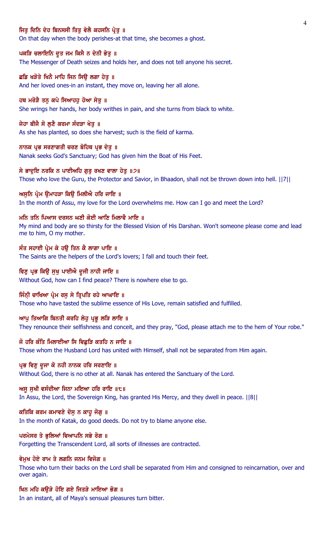## ਜਿਤ ਦਿਨਿ ਦੇਹ ਬਿਨਸਸੀ ਤਿਤ ਵੇਲੈ ਕਹਸਨਿ ਪ੍ਰੇਤ ॥

On that day when the body perishes-at that time, she becomes a ghost.

### ਪਕੜਿ ਚਲਾਇਨਿ ਦੂਤ ਜਮ ਕਿਸੈ ਨ ਦੇਨੀ ਭੇਤੂ ॥

The Messenger of Death seizes and holds her, and does not tell anyone his secret.

## ਛਡਿ ਖੜੋਤੇ ਖਿਨੈ ਮਾਹਿ ਜਿਨ ਸਿੳ ਲਗਾ ਹੇਤ ॥

And her loved ones-in an instant, they move on, leaving her all alone.

#### ਹਥ ਮਰੋੜੈ ਤਨ ਕਪੇ ਸਿਆਹਹ ਹੋਆ ਸੇਤ ॥

She wrings her hands, her body writhes in pain, and she turns from black to white.

#### ਜੇਹਾ ਬੀਜੈ ਸੋ ਲੁਣੈ ਕਰਮਾ ਸੰਦੜਾ ਖੇਤੁ ॥

As she has planted, so does she harvest; such is the field of karma.

#### ਨਾਨਕ ਪ੍ਰਭ ਸਰਣਾਗਤੀ ਚਰਣ ਬੋਹਿਥ ਪ੍ਰਭ ਦੇਤੁ ॥

Nanak seeks God's Sanctuary; God has given him the Boat of His Feet.

#### ਸੇ ਭਾਦੁਇ ਨਰਕਿ ਨ ਪਾਈਅਹਿ ਗੁਰੂ ਰਖਣ ਵਾਲਾ ਹੇਤੁ ॥੭॥

Those who love the Guru, the Protector and Savior, in Bhaadon, shall not be thrown down into hell. ||7||

#### ਅਸੁਨਿ ਪ੍ਰੇਮ ਉਮਾਹੜਾ ਕਿਉ ਮਿਲੀਐ ਹਰਿ ਜਾਇ ॥

In the month of Assu, my love for the Lord overwhelms me. How can I go and meet the Lord?

### <u>ਮਨਿ ਤਨਿ ਪਿਆਸ ਦਰਸਨ ਘਣੀ ਕੋਈ ਆਣਿ ਮਿਲਾਵੈ ਮਾਇ ॥</u>

My mind and body are so thirsty for the Blessed Vision of His Darshan. Won't someone please come and lead me to him, O my mother.

## ਸੰਤ ਸਹਾਈ ਪ੍ਰੇਮ ਕੇ ਹਉ ਤਿਨ ਕੈ ਲਾਗਾ ਪਾਇ ॥

The Saints are the helpers of the Lord's lovers; I fall and touch their feet.

#### ਵਿਣੂ ਪ੍ਰਭ ਕਿਉ ਸੁਖੂ ਪਾਈਐ ਦੂਜੀ ਨਾਹੀ ਜਾਇ ॥

Without God, how can I find peace? There is nowhere else to go.

#### ਜਿੰਨੀ ਚਾਖਿਆ ਪ੍ਰੇਮ ਰਸ ਸੇ ਤਿਪਤਿ ਰਹੇ ਆਘਾਇ ॥

Those who have tasted the sublime essence of His Love, remain satisfied and fulfilled.

### ਆਪੂ ਤਿਆਗਿ ਬਿਨਤੀ ਕਰਹਿ ਲੇਹੂ ਪ੍ਰਭੂ ਲੜਿ ਲਾਇ ॥

They renounce their selfishness and conceit, and they pray, "God, please attach me to the hem of Your robe."

#### ਜੋ ਹਰਿ ਕੰਤਿ ਮਿਲਾਈਆ ਸਿ ਵਿਛੜਿ ਕਤਹਿ ਨ ਜਾਇ ॥

Those whom the Husband Lord has united with Himself, shall not be separated from Him again.

### ਪ੍ਰਭ ਵਿਣੂ ਦੂਜਾ ਕੋ ਨਹੀ ਨਾਨਕ ਹਰਿ ਸਰਣਾਇ ॥

Without God, there is no other at all. Nanak has entered the Sanctuary of the Lord.

## ਅਸੁ ਸੁਖੀ ਵਸੰਦੀਆ ਜਿਨਾ ਮਇਆ ਹਰਿ ਰਾਇ ॥੮॥

In Assu, the Lord, the Sovereign King, has granted His Mercy, and they dwell in peace. ||8||

## ਕਤਿਕਿ ਕਰਮ ਕਮਾਵਣੇ ਦੋਸੂ ਨ ਕਾਹੂ ਜੋਗੂ ॥

In the month of Katak, do good deeds. Do not try to blame anyone else.

## ਪਰਮੇਸਰ ਤੇ ਭਲਿਆਂ ਵਿਆਪਨਿ ਸਭੇ ਰੋਗ ॥

Forgetting the Transcendent Lord, all sorts of illnesses are contracted.

## ਵੇਮਖ ਹੋਏ ਰਾਮ ਤੇ ਲਗਨਿ ਜਨਮ ਵਿਜੋਗ ॥

Those who turn their backs on the Lord shall be separated from Him and consigned to reincarnation, over and over again.

## ਖਿਨ ਮਹਿ ਕਉੜੇ ਹੋਇ ਗਏ ਜਿਤੜੇ ਮਾਇਆ ਭੋਗ ॥

In an instant, all of Maya's sensual pleasures turn bitter.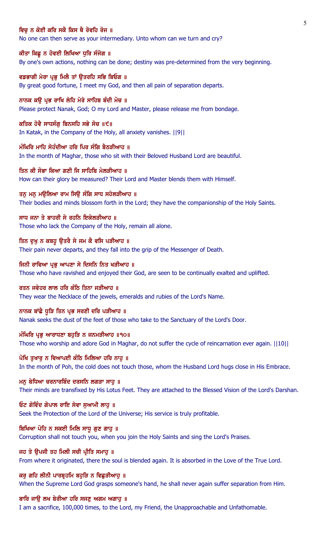## ਵਿਚ ਨ ਕੋਈ ਕਰਿ ਸਕੈ ਕਿਸ ਥੈ ਰੋਵਹਿ ਰੋਜ ॥

No one can then serve as your intermediary. Unto whom can we turn and cry?

## ਕੀਤਾ ਕਿਛੂ ਨ ਹੋਵਈ ਲਿਖਿਆ ਧੁਰਿ ਸੰਜੋਗ ॥

By one's own actions, nothing can be done; destiny was pre-determined from the very beginning.

ਵਡਭਾਗੀ ਮੇਰਾ ਪ੍ਰਭ ਮਿਲੈ ਤਾਂ ੳਤਰਹਿ ਸਭਿ ਬਿਓਗ ॥ By great good fortune, I meet my God, and then all pain of separation departs.

ਨਾਨਕ ਕੳ ਪ੍ਰਭ ਰਾਖਿ ਲੇਹਿ ਮੇਰੇ ਸਾਹਿਬ ਬੰਦੀ ਮੋਚ ॥ Please protect Nanak, God; O my Lord and Master, please release me from bondage.

ਕਤਿਕ ਹੋਵੈ ਸਾਧਸੰਗ ਬਿਨਸਹਿ ਸਭੇ ਸੋਚ ॥੯॥ In Katak, in the Company of the Holy, all anxiety vanishes. ||9||

ਮੰਘਿਰਿ ਮਾਹਿ ਸੋਹੰਦੀਆ ਹਰਿ ਪਿਰ ਸੰਗਿ ਬੈਠੜੀਆਹ ॥ In the month of Maghar, those who sit with their Beloved Husband Lord are beautiful.

ਤਿਨ ਕੀ ਸੋਭਾ ਕਿਆ ਗਣੀ ਜਿ ਸਾਹਿਬਿ ਮੇਲਤੀਆਹ ॥ How can their glory be measured? Their Lord and Master blends them with Himself.

ਤਨ ਮਨ ਮਉਲਿਆ ਰਾਮ ਸਿਉ ਸੰਗਿ ਸਾਧ ਸਹੇਲੜੀਆਹ ॥ Their bodies and minds blossom forth in the Lord; they have the companionship of the Holy Saints.

ਸਾਧ ਜਨਾ ਤੇ ਬਾਹਰੀ ਸੇ ਰਹਨਿ ਇਕੇਲਤੀਆਹ ॥ Those who lack the Company of the Holy, remain all alone.

ਤਿਨ ਦੁਖੁ ਨ ਕਬਹੁ ਉਤਰੈ ਸੇ ਜਮ ਕੈ ਵਸਿ ਪੜੀਆਹ ॥ Their pain never departs, and they fall into the grip of the Messenger of Death.

ਜਿਨੀ ਰਾਵਿਆ ਪ੍ਰਭੂ ਆਪਣਾ ਸੇ ਦਿਸਨਿ ਨਿਤ ਖੜੀਆਹ ॥ Those who have ravished and enjoyed their God, are seen to be continually exalted and uplifted.

ਰਤਨ ਜਵੇਹਰ ਲਾਲ ਹਰਿ ਕੰਠਿ ਤਿਨਾ ਜੜੀਆਹ ॥ They wear the Necklace of the jewels, emeralds and rubies of the Lord's Name.

ਨਾਨਕ ਬਾਂਛੈ ਧੁੜਿ ਤਿਨ ਪ੍ਰਭ ਸਰਣੀ ਦਰਿ ਪੜੀਆਹ ॥ Nanak seeks the dust of the feet of those who take to the Sanctuary of the Lord's Door.

ਮੰਘਿਰਿ ਪ੍ਰਭੂ ਆਰਾਧਣਾ ਬਹੁੜਿ ਨ ਜਨਮੜੀਆਹ ॥੧੦॥ Those who worship and adore God in Maghar, do not suffer the cycle of reincarnation ever again. ||10||

ਪੋਖਿ ਤਖਾਰ ਨ ਵਿਆਪਈ ਕੰਠਿ ਮਿਲਿਆ ਹਰਿ ਨਾਹ ॥

In the month of Poh, the cold does not touch those, whom the Husband Lord hugs close in His Embrace.

ਮਨੁ ਬੇਧਿਆ ਚਰਨਾਰਬਿੰਦ ਦਰਸਨਿ ਲਗੜਾ ਸਾਹੁ ॥ Their minds are transfixed by His Lotus Feet. They are attached to the Blessed Vision of the Lord's Darshan.

ਓਟ ਗੋਵਿੰਦ ਗੋਪਾਲ ਰਾਇ ਸੇਵਾ ਸੁਆਮੀ ਲਾਹੂ ॥ Seek the Protection of the Lord of the Universe; His service is truly profitable.

ਬਿਖਿਆ ਪੋਹਿ ਨ ਸਕਈ ਮਿਲਿ ਸਾਧ ਗਣ ਗਾਹ ॥ Corruption shall not touch you, when you join the Holy Saints and sing the Lord's Praises.

ਜਹ ਤੇ ਉਪਜੀ ਤਹ ਮਿਲੀ ਸਚੀ ਪ੍ਰੀਤਿ ਸਮਾਹੁ ॥ From where it originated, there the soul is blended again. It is absorbed in the Love of the True Lord.

ਕਰੂ ਗਹਿ ਲੀਨੀ ਪਾਰਬ੍ਰਹਮਿ ਬਹੁੜਿ ਨ ਵਿਛੜੀਆਹੂ ॥ When the Supreme Lord God grasps someone's hand, he shall never again suffer separation from Him.

ਬਾਰਿ ਜਾਉ ਲਖ ਬੇਰੀਆ ਹਰਿ ਸਜਣੂ ਅਗਮ ਅਗਾਹੁ ॥

I am a sacrifice, 100,000 times, to the Lord, my Friend, the Unapproachable and Unfathomable.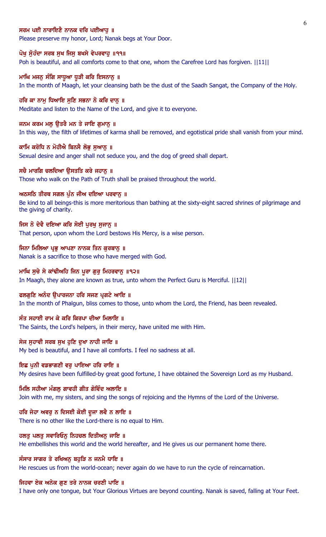### ਸਰਮ ਪਈ ਨਾਰਾਇਣੈ ਨਾਨਕ ਦਰਿ ਪਈਆਹ ॥

Please preserve my honor, Lord; Nanak begs at Your Door.

#### ਪੋਖੁ ਸੁੋਹੰਦਾ ਸਰਬ ਸੁਖ ਜਿਸੁ ਬਖਸੇ ਵੇਪਰਵਾਹੁ ॥੧੧॥

Poh is beautiful, and all comforts come to that one, whom the Carefree Lord has forgiven.  $||11||$ 

### ਮਾਘਿ ਮਜਨ ਸੰਗਿ ਸਾਧੂਆ ਧੜੀ ਕਰਿ ਇਸਨਾਨ ॥

In the month of Maagh, let your cleansing bath be the dust of the Saadh Sangat, the Company of the Holy.

#### ਹਰਿ ਕਾ ਨਾਮ ਧਿਆਇ ਸਣਿ ਸਭਨਾ ਨੋ ਕਰਿ ਦਾਨ ॥

Meditate and listen to the Name of the Lord, and give it to everyone.

#### ਜਨਮ ਕਰਮ ਮਲੂ ਉਤਰੈ ਮਨ ਤੇ ਜਾਇ ਗੁਮਾਨੂ ॥

In this way, the filth of lifetimes of karma shall be removed, and egotistical pride shall vanish from your mind.

#### ਕਾਮਿ ਕਰੋਧਿ ਨ ਮੋਹੀਐ ਬਿਨਸੈ ਲੋਭੂ ਸੁਆਨੂ ॥

Sexual desire and anger shall not seduce you, and the dog of greed shall depart.

#### ਸਚੈ ਮਾਰਗਿ ਚਲਦਿਆ ੳਸਤਤਿ ਕਰੇ ਜਹਾਨ ॥

Those who walk on the Path of Truth shall be praised throughout the world.

#### ਅਠਸਠਿ ਤੀਰਥ ਸਗਲ ਪੁੰਨ ਜੀਅ ਦਇਆ ਪਰਵਾਨੂ ॥

Be kind to all beings-this is more meritorious than bathing at the sixty-eight sacred shrines of pilgrimage and the giving of charity.

#### ਜਿਸ ਨੋ ਦੇਵੈ ਦਇਆ ਕਰਿ ਸੋਈ ਪੂਰਖੂ ਸੁਜਾਨੂ ॥

That person, upon whom the Lord bestows His Mercy, is a wise person.

#### ਜਿਨਾ ਮਿਲਿਆ ਪ੍ਰਭੂ ਆਪਣਾ ਨਾਨਕ ਤਿਨ ਕੁਰਬਾਨੂ ॥

Nanak is a sacrifice to those who have merged with God.

### ਮਾਘਿ ਸੂਚੇ ਸੇ ਕਾਂਢੀਅਹਿ ਜਿਨ ਪੂਰਾ ਗੁਰੂ ਮਿਹਰਵਾਨੂ ॥੧੨॥

In Maagh, they alone are known as true, unto whom the Perfect Guru is Merciful. ||12||

#### ਫਲਗਣਿ ਅਨੰਦ ੳਪਾਰਜਨਾ ਹਰਿ ਸਜਣ ਪੁਗਟੇ ਆਇ ॥

In the month of Phalgun, bliss comes to those, unto whom the Lord, the Friend, has been revealed.

## ਸੰਤ ਸਹਾਈ ਰਾਮ ਕੇ ਕਰਿ ਕਿਰਪਾ ਦੀਆ ਮਿਲਾਇ ॥

The Saints, the Lord's helpers, in their mercy, have united me with Him.

### ਸੇਜ ਸਹਾਵੀ ਸਰਬ ਸਖ ਹਣਿ ਦਖਾ ਨਾਹੀ ਜਾਇ ॥

My bed is beautiful, and I have all comforts. I feel no sadness at all.

## ਇਛ ਪਨੀ ਵਡਭਾਗਣੀ ਵਰ ਪਾਇਆ ਹਰਿ ਰਾਇ ॥

My desires have been fulfilled-by great good fortune, I have obtained the Sovereign Lord as my Husband.

#### ਮਿਲਿ ਸਹੀਆ ਮੰਗਲੂ ਗਾਵਹੀ ਗੀਤ ਗੋਵਿੰਦ ਅਲਾਇ ॥

Join with me, my sisters, and sing the songs of rejoicing and the Hymns of the Lord of the Universe.

### ਹਰਿ ਜੇਹਾ ਅਵਰੂ ਨ ਦਿਸਈ ਕੋਈ ਦੂਜਾ ਲਵੈ ਨ ਲਾਇ ॥

There is no other like the Lord-there is no equal to Him.

### ਹਲਤੂ ਪਲਤੂ ਸਵਾਰਿਓਨੂ ਨਿਹਚਲ ਦਿਤੀਅਨੂ ਜਾਇ ॥

He embellishes this world and the world hereafter, and He gives us our permanent home there.

#### ਸੰਸਾਰ ਸਾਗਰ ਤੇ ਰਖਿਅਨੂ ਬਹੁੜਿ ਨ ਜਨਮੈ ਧਾਇ ॥

He rescues us from the world-ocean; never again do we have to run the cycle of reincarnation.

#### ਜਿਹਵਾ ਏਕ ਅਨੇਕ ਗੁਣ ਤਰੇ ਨਾਨਕ ਚਰਣੀ ਪਾਇ ॥

I have only one tongue, but Your Glorious Virtues are beyond counting. Nanak is saved, falling at Your Feet.